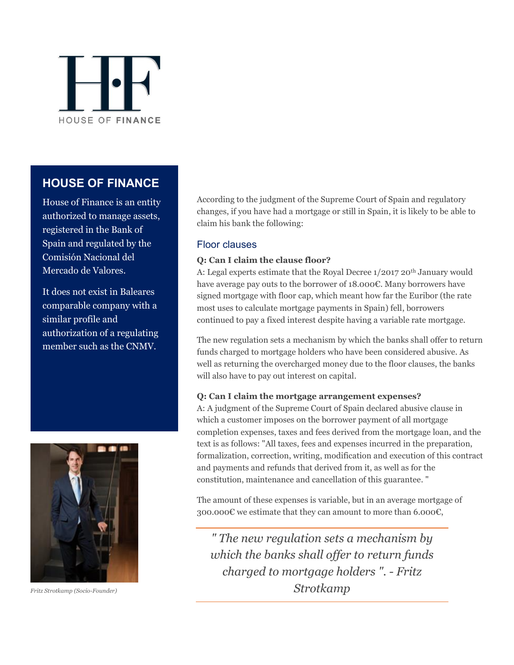

# **HOUSE OF FINANCE**

House of Finance is an entity authorized to manage assets, registered in the Bank of Spain and regulated by the Comisión Nacional del Mercado de Valores.

It does not exist in Baleares comparable company with a similar profile and authorization of a regulating member such as the CNMV.



*Fritz Strotkamp (Socio-Founder)*

According to the judgment of the Supreme Court of Spain and regulatory changes, if you have had a mortgage or still in Spain, it is likely to be able to claim his bank the following:

### Floor clauses

### **Q: Can I claim the clause floor?**

A: Legal experts estimate that the Royal Decree 1/2017 20<sup>th</sup> January would have average pay outs to the borrower of 18.000€. Many borrowers have signed mortgage with floor cap, which meant how far the Euribor (the rate most uses to calculate mortgage payments in Spain) fell, borrowers continued to pay a fixed interest despite having a variable rate mortgage.

The new regulation sets a mechanism by which the banks shall offer to return funds charged to mortgage holders who have been considered abusive. As well as returning the overcharged money due to the floor clauses, the banks will also have to pay out interest on capital.

#### **Q: Can I claim the mortgage arrangement expenses?**

A: A judgment of the Supreme Court of Spain declared abusive clause in which a customer imposes on the borrower payment of all mortgage completion expenses, taxes and fees derived from the mortgage loan, and the text is as follows: "All taxes, fees and expenses incurred in the preparation, formalization, correction, writing, modification and execution of this contract and payments and refunds that derived from it, as well as for the constitution, maintenance and cancellation of this guarantee. "

The amount of these expenses is variable, but in an average mortgage of 300.000€ we estimate that they can amount to more than 6.000€,

*" The new regulation sets a mechanism by which the banks shall offer to return funds charged to mortgage holders ". - Fritz Strotkamp*